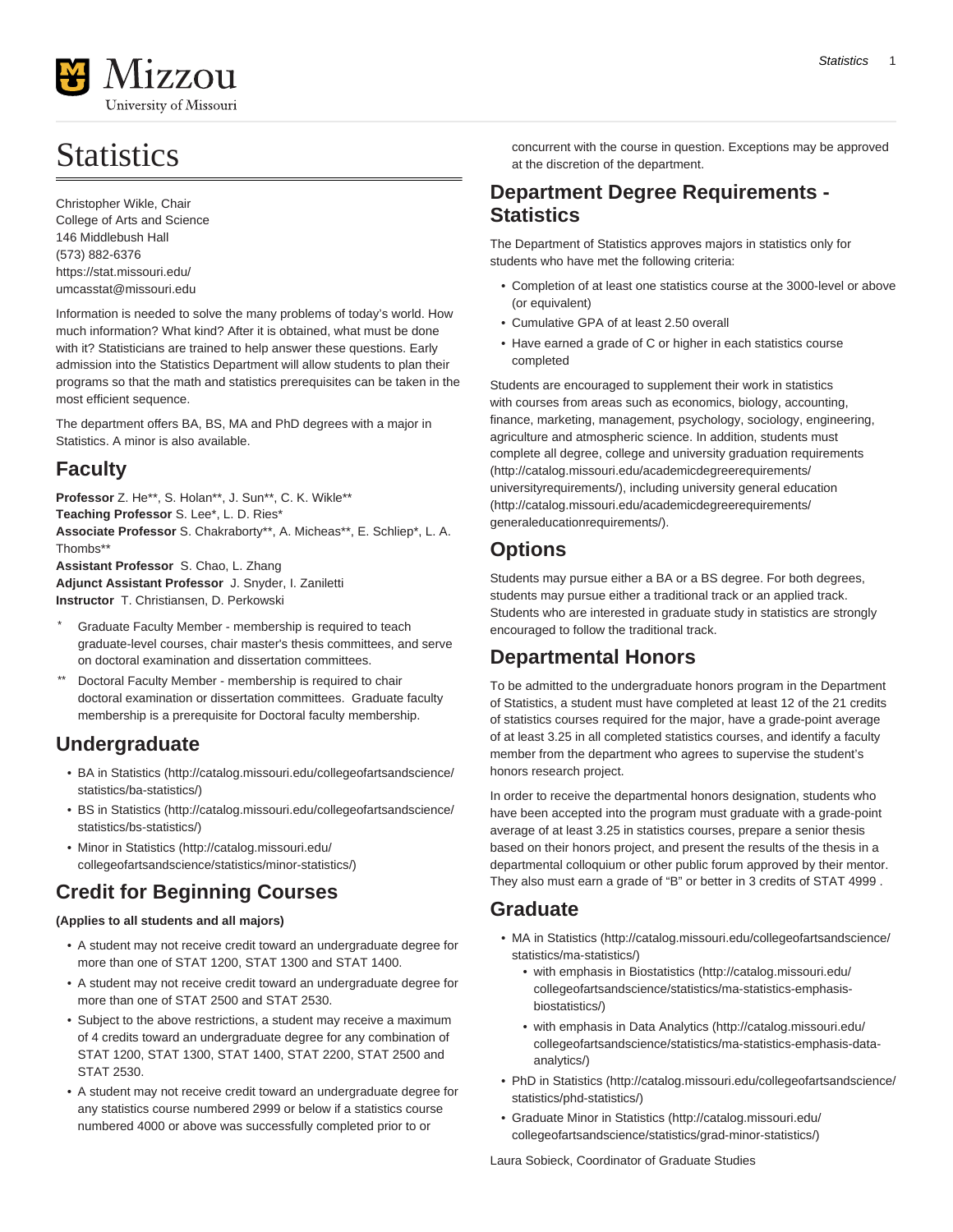

# **Statistics**

Christopher Wikle, Chair College of Arts and Science 146 Middlebush Hall (573) 882-6376 <https://stat.missouri.edu/> [umcasstat@missouri.edu](mailto:umcasstat@missouri.edu)

Information is needed to solve the many problems of today's world. How much information? What kind? After it is obtained, what must be done with it? Statisticians are trained to help answer these questions. Early admission into the Statistics Department will allow students to plan their programs so that the math and statistics prerequisites can be taken in the most efficient sequence.

The department offers BA, BS, MA and PhD degrees with a major in Statistics. A minor is also available.

# **Faculty**

**Professor** Z. He\*\*, S. Holan\*\*, J. Sun\*\*, C. K. Wikle\*\* **Teaching Professor** S. Lee\*, L. D. Ries\* **Associate Professor** S. Chakraborty\*\*, A. Micheas\*\*, E. Schliep\*, L. A. Thombs\*\* **Assistant Professor** S. Chao, L. Zhang

**Adjunct Assistant Professor** J. Snyder, I. Zaniletti **Instructor** T. Christiansen, D. Perkowski

- Graduate Faculty Member membership is required to teach graduate-level courses, chair master's thesis committees, and serve on doctoral examination and dissertation committees.
- Doctoral Faculty Member membership is required to chair doctoral examination or dissertation committees. Graduate faculty membership is a prerequisite for Doctoral faculty membership.

# **Undergraduate**

- [BA in Statistics](http://catalog.missouri.edu/collegeofartsandscience/statistics/ba-statistics/) [\(http://catalog.missouri.edu/collegeofartsandscience/](http://catalog.missouri.edu/collegeofartsandscience/statistics/ba-statistics/) [statistics/ba-statistics/](http://catalog.missouri.edu/collegeofartsandscience/statistics/ba-statistics/))
- [BS in Statistics](http://catalog.missouri.edu/collegeofartsandscience/statistics/bs-statistics/) [\(http://catalog.missouri.edu/collegeofartsandscience/](http://catalog.missouri.edu/collegeofartsandscience/statistics/bs-statistics/) [statistics/bs-statistics/\)](http://catalog.missouri.edu/collegeofartsandscience/statistics/bs-statistics/)
- [Minor in Statistics](http://catalog.missouri.edu/collegeofartsandscience/statistics/minor-statistics/) ([http://catalog.missouri.edu/](http://catalog.missouri.edu/collegeofartsandscience/statistics/minor-statistics/) [collegeofartsandscience/statistics/minor-statistics/](http://catalog.missouri.edu/collegeofartsandscience/statistics/minor-statistics/))

# **Credit for Beginning Courses**

# **(Applies to all students and all majors)**

- A student may not receive credit toward an undergraduate degree for more than one of STAT 1200, STAT 1300 and STAT 1400.
- A student may not receive credit toward an undergraduate degree for more than one of STAT 2500 and STAT 2530.
- Subject to the above restrictions, a student may receive a maximum of 4 credits toward an undergraduate degree for any combination of STAT 1200, STAT 1300, STAT 1400, STAT 2200, STAT 2500 and STAT 2530.
- A student may not receive credit toward an undergraduate degree for any statistics course numbered 2999 or below if a statistics course numbered 4000 or above was successfully completed prior to or

concurrent with the course in question. Exceptions may be approved at the discretion of the department.

# **Department Degree Requirements - Statistics**

The Department of Statistics approves majors in statistics only for students who have met the following criteria:

- Completion of at least one statistics course at the 3000-level or above (or equivalent)
- Cumulative GPA of at least 2.50 overall
- Have earned a grade of C or higher in each statistics course completed

Students are encouraged to supplement their work in statistics with courses from areas such as economics, biology, accounting, finance, marketing, management, psychology, sociology, engineering, agriculture and atmospheric science. In addition, students must complete all degree, college and [university graduation requirements](http://catalog.missouri.edu/academicdegreerequirements/universityrequirements/) ([http://catalog.missouri.edu/academicdegreerequirements/](http://catalog.missouri.edu/academicdegreerequirements/universityrequirements/) [universityrequirements/\)](http://catalog.missouri.edu/academicdegreerequirements/universityrequirements/), including university [general education](http://catalog.missouri.edu/academicdegreerequirements/generaleducationrequirements/) ([http://catalog.missouri.edu/academicdegreerequirements/](http://catalog.missouri.edu/academicdegreerequirements/generaleducationrequirements/) [generaleducationrequirements/](http://catalog.missouri.edu/academicdegreerequirements/generaleducationrequirements/)).

# **Options**

Students may pursue either a BA or a BS degree. For both degrees, students may pursue either a traditional track or an applied track. Students who are interested in graduate study in statistics are strongly encouraged to follow the traditional track.

# **Departmental Honors**

To be admitted to the undergraduate honors program in the Department of Statistics, a student must have completed at least 12 of the 21 credits of statistics courses required for the major, have a grade-point average of at least 3.25 in all completed statistics courses, and identify a faculty member from the department who agrees to supervise the student's honors research project.

In order to receive the departmental honors designation, students who have been accepted into the program must graduate with a grade-point average of at least 3.25 in statistics courses, prepare a senior thesis based on their honors project, and present the results of the thesis in a departmental colloquium or other public forum approved by their mentor. They also must earn a grade of "B" or better in 3 credits of STAT 4999 .

# **Graduate**

- [MA in Statistics](http://catalog.missouri.edu/collegeofartsandscience/statistics/ma-statistics/) ([http://catalog.missouri.edu/collegeofartsandscience/](http://catalog.missouri.edu/collegeofartsandscience/statistics/ma-statistics/) [statistics/ma-statistics/\)](http://catalog.missouri.edu/collegeofartsandscience/statistics/ma-statistics/)
	- [with emphasis in Biostatistics \(http://catalog.missouri.edu/](http://catalog.missouri.edu/collegeofartsandscience/statistics/ma-statistics-emphasis-biostatistics/) [collegeofartsandscience/statistics/ma-statistics-emphasis](http://catalog.missouri.edu/collegeofartsandscience/statistics/ma-statistics-emphasis-biostatistics/)[biostatistics/\)](http://catalog.missouri.edu/collegeofartsandscience/statistics/ma-statistics-emphasis-biostatistics/)
	- [with emphasis in Data Analytics](http://catalog.missouri.edu/collegeofartsandscience/statistics/ma-statistics-emphasis-data-analytics/) [\(http://catalog.missouri.edu/](http://catalog.missouri.edu/collegeofartsandscience/statistics/ma-statistics-emphasis-data-analytics/) [collegeofartsandscience/statistics/ma-statistics-emphasis-data](http://catalog.missouri.edu/collegeofartsandscience/statistics/ma-statistics-emphasis-data-analytics/)[analytics/](http://catalog.missouri.edu/collegeofartsandscience/statistics/ma-statistics-emphasis-data-analytics/))
- [PhD in Statistics](http://catalog.missouri.edu/collegeofartsandscience/statistics/phd-statistics/) [\(http://catalog.missouri.edu/collegeofartsandscience/](http://catalog.missouri.edu/collegeofartsandscience/statistics/phd-statistics/) [statistics/phd-statistics/\)](http://catalog.missouri.edu/collegeofartsandscience/statistics/phd-statistics/)
- [Graduate Minor in Statistics](http://catalog.missouri.edu/collegeofartsandscience/statistics/grad-minor-statistics/) [\(http://catalog.missouri.edu/](http://catalog.missouri.edu/collegeofartsandscience/statistics/grad-minor-statistics/) [collegeofartsandscience/statistics/grad-minor-statistics/](http://catalog.missouri.edu/collegeofartsandscience/statistics/grad-minor-statistics/))

Laura Sobieck, Coordinator of Graduate Studies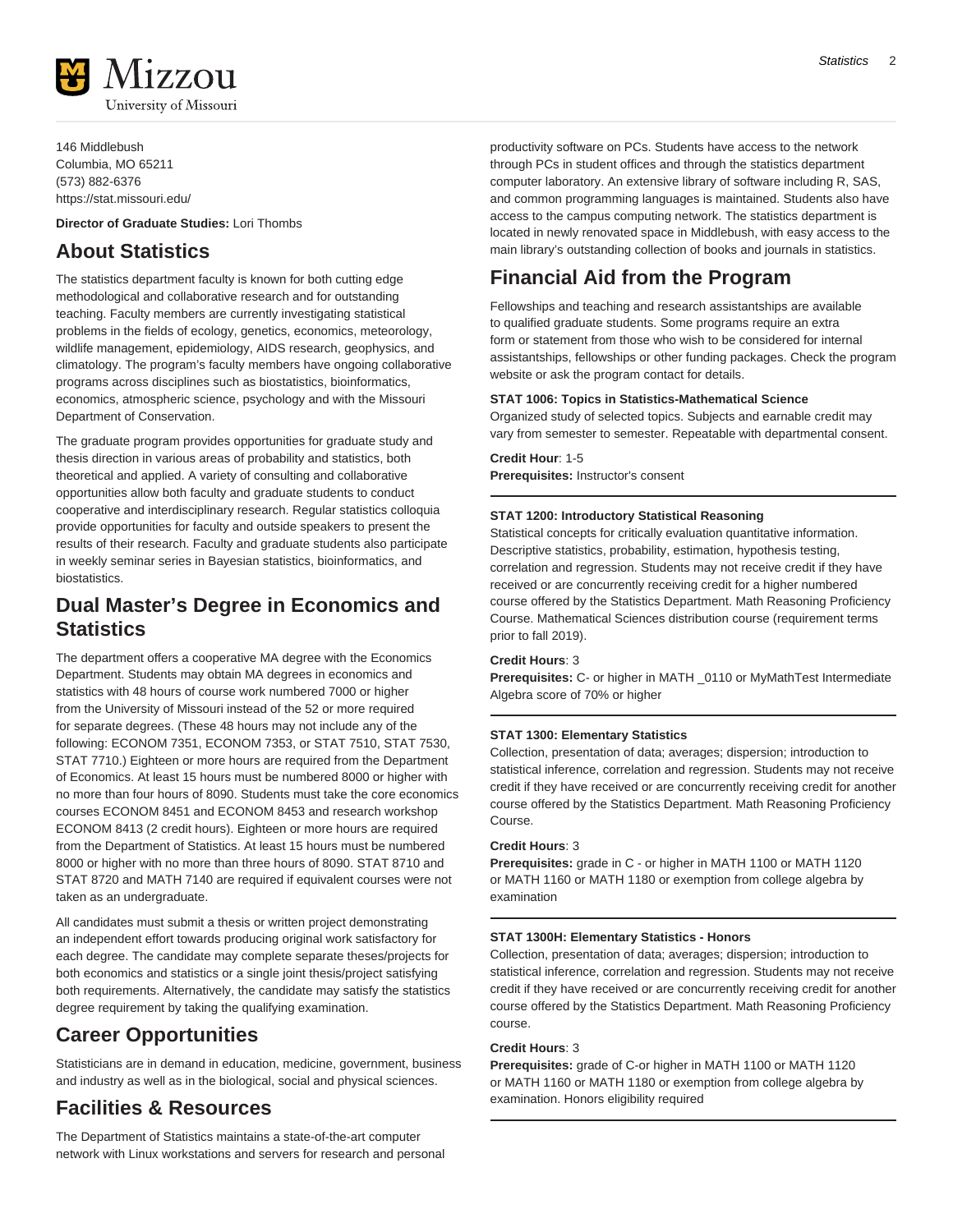

146 Middlebush Columbia, MO 65211 (573) 882-6376 <https://stat.missouri.edu/>

**Director of Graduate Studies:** Lori Thombs

# **About Statistics**

The statistics department faculty is known for both cutting edge methodological and collaborative research and for outstanding teaching. Faculty members are currently investigating statistical problems in the fields of ecology, genetics, economics, meteorology, wildlife management, epidemiology, AIDS research, geophysics, and climatology. The program's faculty members have ongoing collaborative programs across disciplines such as biostatistics, bioinformatics, economics, atmospheric science, psychology and with the Missouri Department of Conservation.

The graduate program provides opportunities for graduate study and thesis direction in various areas of probability and statistics, both theoretical and applied. A variety of consulting and collaborative opportunities allow both faculty and graduate students to conduct cooperative and interdisciplinary research. Regular statistics colloquia provide opportunities for faculty and outside speakers to present the results of their research. Faculty and graduate students also participate in weekly seminar series in Bayesian statistics, bioinformatics, and biostatistics.

# **Dual Master's Degree in Economics and Statistics**

The department offers a cooperative MA degree with the Economics Department. Students may obtain MA degrees in economics and statistics with 48 hours of course work numbered 7000 or higher from the University of Missouri instead of the 52 or more required for separate degrees. (These 48 hours may not include any of the following: ECONOM 7351, ECONOM 7353, or STAT 7510, STAT 7530, STAT 7710.) Eighteen or more hours are required from the Department of Economics. At least 15 hours must be numbered 8000 or higher with no more than four hours of 8090. Students must take the core economics courses ECONOM 8451 and ECONOM 8453 and research workshop ECONOM 8413 (2 credit hours). Eighteen or more hours are required from the Department of Statistics. At least 15 hours must be numbered 8000 or higher with no more than three hours of 8090. STAT 8710 and STAT 8720 and MATH 7140 are required if equivalent courses were not taken as an undergraduate.

All candidates must submit a thesis or written project demonstrating an independent effort towards producing original work satisfactory for each degree. The candidate may complete separate theses/projects for both economics and statistics or a single joint thesis/project satisfying both requirements. Alternatively, the candidate may satisfy the statistics degree requirement by taking the qualifying examination.

# **Career Opportunities**

Statisticians are in demand in education, medicine, government, business and industry as well as in the biological, social and physical sciences.

# **Facilities & Resources**

The Department of Statistics maintains a state-of-the-art computer network with Linux workstations and servers for research and personal productivity software on PCs. Students have access to the network through PCs in student offices and through the statistics department computer laboratory. An extensive library of software including R, SAS, and common programming languages is maintained. Students also have access to the campus computing network. The statistics department is located in newly renovated space in Middlebush, with easy access to the main library's outstanding collection of books and journals in statistics.

# **Financial Aid from the Program**

Fellowships and teaching and research assistantships are available to qualified graduate students. Some programs require an extra form or statement from those who wish to be considered for internal assistantships, fellowships or other funding packages. Check the program website or ask the program contact for details.

# **STAT 1006: Topics in Statistics-Mathematical Science**

Organized study of selected topics. Subjects and earnable credit may vary from semester to semester. Repeatable with departmental consent.

**Credit Hour**: 1-5 **Prerequisites:** Instructor's consent

# **STAT 1200: Introductory Statistical Reasoning**

Statistical concepts for critically evaluation quantitative information. Descriptive statistics, probability, estimation, hypothesis testing, correlation and regression. Students may not receive credit if they have received or are concurrently receiving credit for a higher numbered course offered by the Statistics Department. Math Reasoning Proficiency Course. Mathematical Sciences distribution course (requirement terms prior to fall 2019).

# **Credit Hours**: 3

**Prerequisites:** C- or higher in MATH \_0110 or MyMathTest Intermediate Algebra score of 70% or higher

# **STAT 1300: Elementary Statistics**

Collection, presentation of data; averages; dispersion; introduction to statistical inference, correlation and regression. Students may not receive credit if they have received or are concurrently receiving credit for another course offered by the Statistics Department. Math Reasoning Proficiency Course.

# **Credit Hours**: 3

**Prerequisites:** grade in C - or higher in MATH 1100 or MATH 1120 or MATH 1160 or MATH 1180 or exemption from college algebra by examination

# **STAT 1300H: Elementary Statistics - Honors**

Collection, presentation of data; averages; dispersion; introduction to statistical inference, correlation and regression. Students may not receive credit if they have received or are concurrently receiving credit for another course offered by the Statistics Department. Math Reasoning Proficiency course.

# **Credit Hours**: 3

**Prerequisites:** grade of C-or higher in MATH 1100 or MATH 1120 or MATH 1160 or MATH 1180 or exemption from college algebra by examination. Honors eligibility required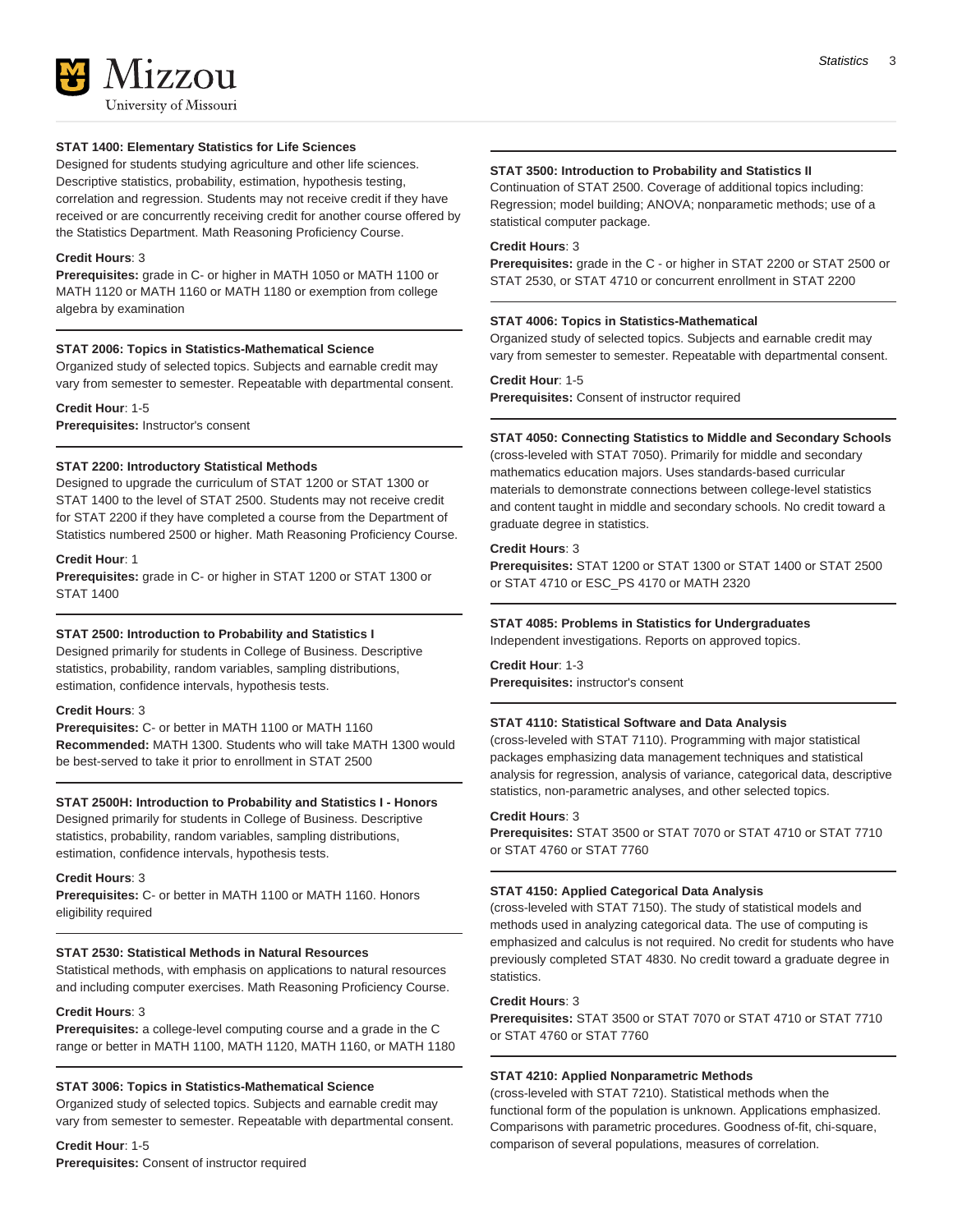# **STAT 1400: Elementary Statistics for Life Sciences**

Designed for students studying agriculture and other life sciences. Descriptive statistics, probability, estimation, hypothesis testing, correlation and regression. Students may not receive credit if they have received or are concurrently receiving credit for another course offered by the Statistics Department. Math Reasoning Proficiency Course.

### **Credit Hours**: 3

**Prerequisites:** grade in C- or higher in MATH 1050 or MATH 1100 or MATH 1120 or MATH 1160 or MATH 1180 or exemption from college algebra by examination

# **STAT 2006: Topics in Statistics-Mathematical Science**

Organized study of selected topics. Subjects and earnable credit may vary from semester to semester. Repeatable with departmental consent.

**Credit Hour**: 1-5 **Prerequisites:** Instructor's consent

# **STAT 2200: Introductory Statistical Methods**

Designed to upgrade the curriculum of STAT 1200 or STAT 1300 or STAT 1400 to the level of STAT 2500. Students may not receive credit for STAT 2200 if they have completed a course from the Department of Statistics numbered 2500 or higher. Math Reasoning Proficiency Course.

#### **Credit Hour**: 1

**Prerequisites:** grade in C- or higher in STAT 1200 or STAT 1300 or STAT 1400

#### **STAT 2500: Introduction to Probability and Statistics I**

Designed primarily for students in College of Business. Descriptive statistics, probability, random variables, sampling distributions, estimation, confidence intervals, hypothesis tests.

### **Credit Hours**: 3

**Prerequisites:** C- or better in MATH 1100 or MATH 1160 **Recommended:** MATH 1300. Students who will take MATH 1300 would be best-served to take it prior to enrollment in STAT 2500

#### **STAT 2500H: Introduction to Probability and Statistics I - Honors**

Designed primarily for students in College of Business. Descriptive statistics, probability, random variables, sampling distributions, estimation, confidence intervals, hypothesis tests.

# **Credit Hours**: 3

**Prerequisites:** C- or better in MATH 1100 or MATH 1160. Honors eligibility required

#### **STAT 2530: Statistical Methods in Natural Resources**

Statistical methods, with emphasis on applications to natural resources and including computer exercises. Math Reasoning Proficiency Course.

#### **Credit Hours**: 3

**Prerequisites:** a college-level computing course and a grade in the C range or better in MATH 1100, MATH 1120, MATH 1160, or MATH 1180

#### **STAT 3006: Topics in Statistics-Mathematical Science**

Organized study of selected topics. Subjects and earnable credit may vary from semester to semester. Repeatable with departmental consent.

# **Credit Hour**: 1-5

**Prerequisites:** Consent of instructor required

#### **STAT 3500: Introduction to Probability and Statistics II**

Continuation of STAT 2500. Coverage of additional topics including: Regression; model building; ANOVA; nonparametic methods; use of a statistical computer package.

# **Credit Hours**: 3

**Prerequisites:** grade in the C - or higher in STAT 2200 or STAT 2500 or STAT 2530, or STAT 4710 or concurrent enrollment in STAT 2200

#### **STAT 4006: Topics in Statistics-Mathematical**

Organized study of selected topics. Subjects and earnable credit may vary from semester to semester. Repeatable with departmental consent.

#### **Credit Hour**: 1-5

**Prerequisites:** Consent of instructor required

#### **STAT 4050: Connecting Statistics to Middle and Secondary Schools**

(cross-leveled with STAT 7050). Primarily for middle and secondary mathematics education majors. Uses standards-based curricular materials to demonstrate connections between college-level statistics and content taught in middle and secondary schools. No credit toward a graduate degree in statistics.

#### **Credit Hours**: 3

**Prerequisites:** STAT 1200 or STAT 1300 or STAT 1400 or STAT 2500 or STAT 4710 or ESC\_PS 4170 or MATH 2320

#### **STAT 4085: Problems in Statistics for Undergraduates**

Independent investigations. Reports on approved topics.

# **Credit Hour**: 1-3

**Prerequisites:** instructor's consent

#### **STAT 4110: Statistical Software and Data Analysis**

(cross-leveled with STAT 7110). Programming with major statistical packages emphasizing data management techniques and statistical analysis for regression, analysis of variance, categorical data, descriptive statistics, non-parametric analyses, and other selected topics.

#### **Credit Hours**: 3

**Prerequisites:** STAT 3500 or STAT 7070 or STAT 4710 or STAT 7710 or STAT 4760 or STAT 7760

# **STAT 4150: Applied Categorical Data Analysis**

(cross-leveled with STAT 7150). The study of statistical models and methods used in analyzing categorical data. The use of computing is emphasized and calculus is not required. No credit for students who have previously completed STAT 4830. No credit toward a graduate degree in statistics.

#### **Credit Hours**: 3

**Prerequisites:** STAT 3500 or STAT 7070 or STAT 4710 or STAT 7710 or STAT 4760 or STAT 7760

# **STAT 4210: Applied Nonparametric Methods**

(cross-leveled with STAT 7210). Statistical methods when the functional form of the population is unknown. Applications emphasized. Comparisons with parametric procedures. Goodness of-fit, chi-square, comparison of several populations, measures of correlation.

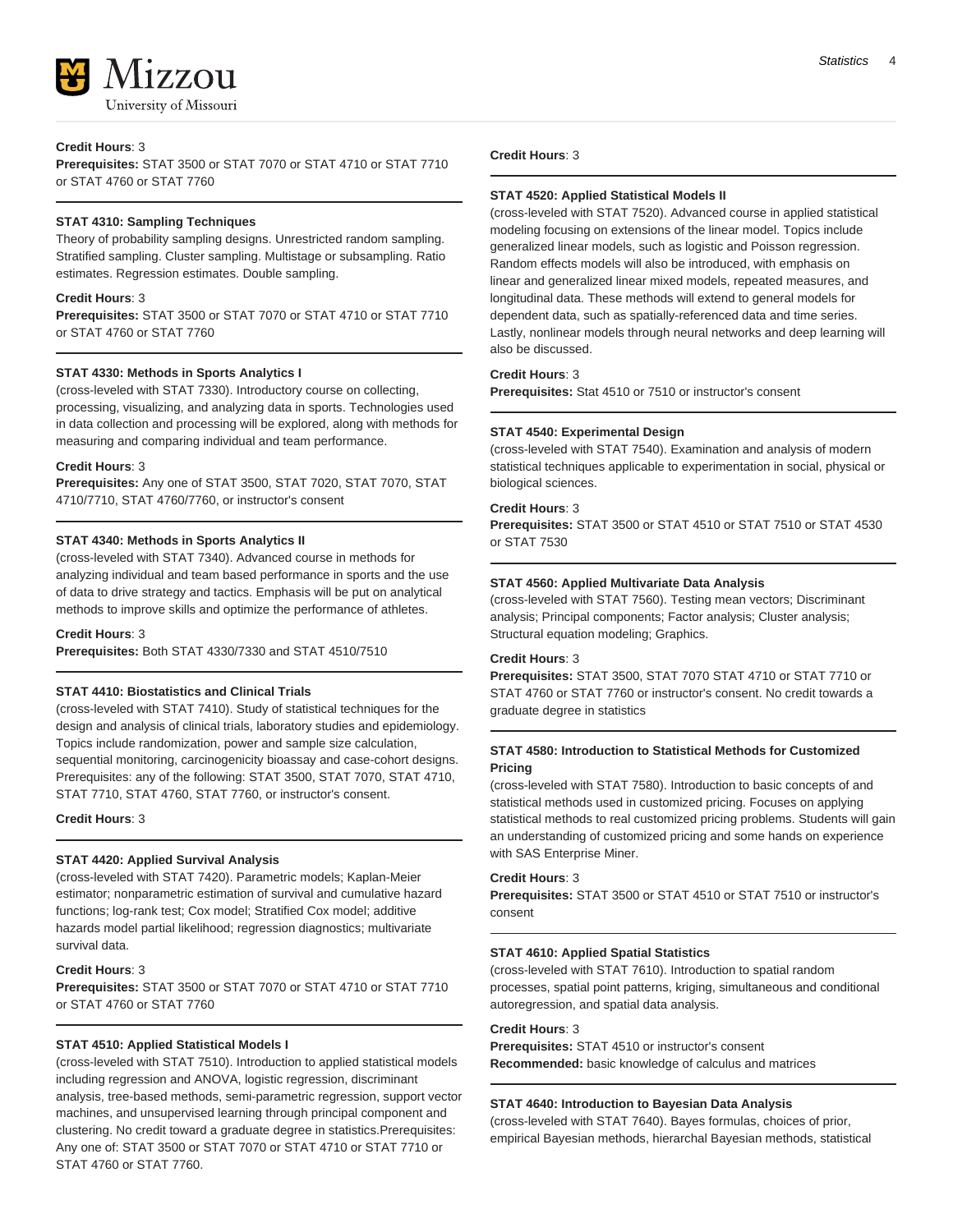

#### **Credit Hours**: 3

**Prerequisites:** STAT 3500 or STAT 7070 or STAT 4710 or STAT 7710 or STAT 4760 or STAT 7760

#### **STAT 4310: Sampling Techniques**

Theory of probability sampling designs. Unrestricted random sampling. Stratified sampling. Cluster sampling. Multistage or subsampling. Ratio estimates. Regression estimates. Double sampling.

#### **Credit Hours**: 3

**Prerequisites:** STAT 3500 or STAT 7070 or STAT 4710 or STAT 7710 or STAT 4760 or STAT 7760

#### **STAT 4330: Methods in Sports Analytics I**

(cross-leveled with STAT 7330). Introductory course on collecting, processing, visualizing, and analyzing data in sports. Technologies used in data collection and processing will be explored, along with methods for measuring and comparing individual and team performance.

#### **Credit Hours**: 3

**Prerequisites:** Any one of STAT 3500, STAT 7020, STAT 7070, STAT 4710/7710, STAT 4760/7760, or instructor's consent

# **STAT 4340: Methods in Sports Analytics II**

(cross-leveled with STAT 7340). Advanced course in methods for analyzing individual and team based performance in sports and the use of data to drive strategy and tactics. Emphasis will be put on analytical methods to improve skills and optimize the performance of athletes.

**Credit Hours**: 3

**Prerequisites:** Both STAT 4330/7330 and STAT 4510/7510

# **STAT 4410: Biostatistics and Clinical Trials**

(cross-leveled with STAT 7410). Study of statistical techniques for the design and analysis of clinical trials, laboratory studies and epidemiology. Topics include randomization, power and sample size calculation, sequential monitoring, carcinogenicity bioassay and case-cohort designs. Prerequisites: any of the following: STAT 3500, STAT 7070, STAT 4710, STAT 7710, STAT 4760, STAT 7760, or instructor's consent.

**Credit Hours**: 3

# **STAT 4420: Applied Survival Analysis**

(cross-leveled with STAT 7420). Parametric models; Kaplan-Meier estimator; nonparametric estimation of survival and cumulative hazard functions; log-rank test; Cox model; Stratified Cox model; additive hazards model partial likelihood; regression diagnostics; multivariate survival data.

#### **Credit Hours**: 3

**Prerequisites:** STAT 3500 or STAT 7070 or STAT 4710 or STAT 7710 or STAT 4760 or STAT 7760

# **STAT 4510: Applied Statistical Models I**

(cross-leveled with STAT 7510). Introduction to applied statistical models including regression and ANOVA, logistic regression, discriminant analysis, tree-based methods, semi-parametric regression, support vector machines, and unsupervised learning through principal component and clustering. No credit toward a graduate degree in statistics.Prerequisites: Any one of: STAT 3500 or STAT 7070 or STAT 4710 or STAT 7710 or STAT 4760 or STAT 7760.

# **Credit Hours**: 3

#### **STAT 4520: Applied Statistical Models II**

(cross-leveled with STAT 7520). Advanced course in applied statistical modeling focusing on extensions of the linear model. Topics include generalized linear models, such as logistic and Poisson regression. Random effects models will also be introduced, with emphasis on linear and generalized linear mixed models, repeated measures, and longitudinal data. These methods will extend to general models for dependent data, such as spatially-referenced data and time series. Lastly, nonlinear models through neural networks and deep learning will also be discussed.

# **Credit Hours**: 3

**Prerequisites:** Stat 4510 or 7510 or instructor's consent

### **STAT 4540: Experimental Design**

(cross-leveled with STAT 7540). Examination and analysis of modern statistical techniques applicable to experimentation in social, physical or biological sciences.

#### **Credit Hours**: 3

**Prerequisites:** STAT 3500 or STAT 4510 or STAT 7510 or STAT 4530 or STAT 7530

### **STAT 4560: Applied Multivariate Data Analysis**

(cross-leveled with STAT 7560). Testing mean vectors; Discriminant analysis; Principal components; Factor analysis; Cluster analysis; Structural equation modeling; Graphics.

#### **Credit Hours**: 3

**Prerequisites:** STAT 3500, STAT 7070 STAT 4710 or STAT 7710 or STAT 4760 or STAT 7760 or instructor's consent. No credit towards a graduate degree in statistics

# **STAT 4580: Introduction to Statistical Methods for Customized Pricing**

(cross-leveled with STAT 7580). Introduction to basic concepts of and statistical methods used in customized pricing. Focuses on applying statistical methods to real customized pricing problems. Students will gain an understanding of customized pricing and some hands on experience with SAS Enterprise Miner.

#### **Credit Hours**: 3

**Prerequisites:** STAT 3500 or STAT 4510 or STAT 7510 or instructor's consent

#### **STAT 4610: Applied Spatial Statistics**

(cross-leveled with STAT 7610). Introduction to spatial random processes, spatial point patterns, kriging, simultaneous and conditional autoregression, and spatial data analysis.

#### **Credit Hours**: 3

**Prerequisites:** STAT 4510 or instructor's consent **Recommended:** basic knowledge of calculus and matrices

#### **STAT 4640: Introduction to Bayesian Data Analysis**

(cross-leveled with STAT 7640). Bayes formulas, choices of prior, empirical Bayesian methods, hierarchal Bayesian methods, statistical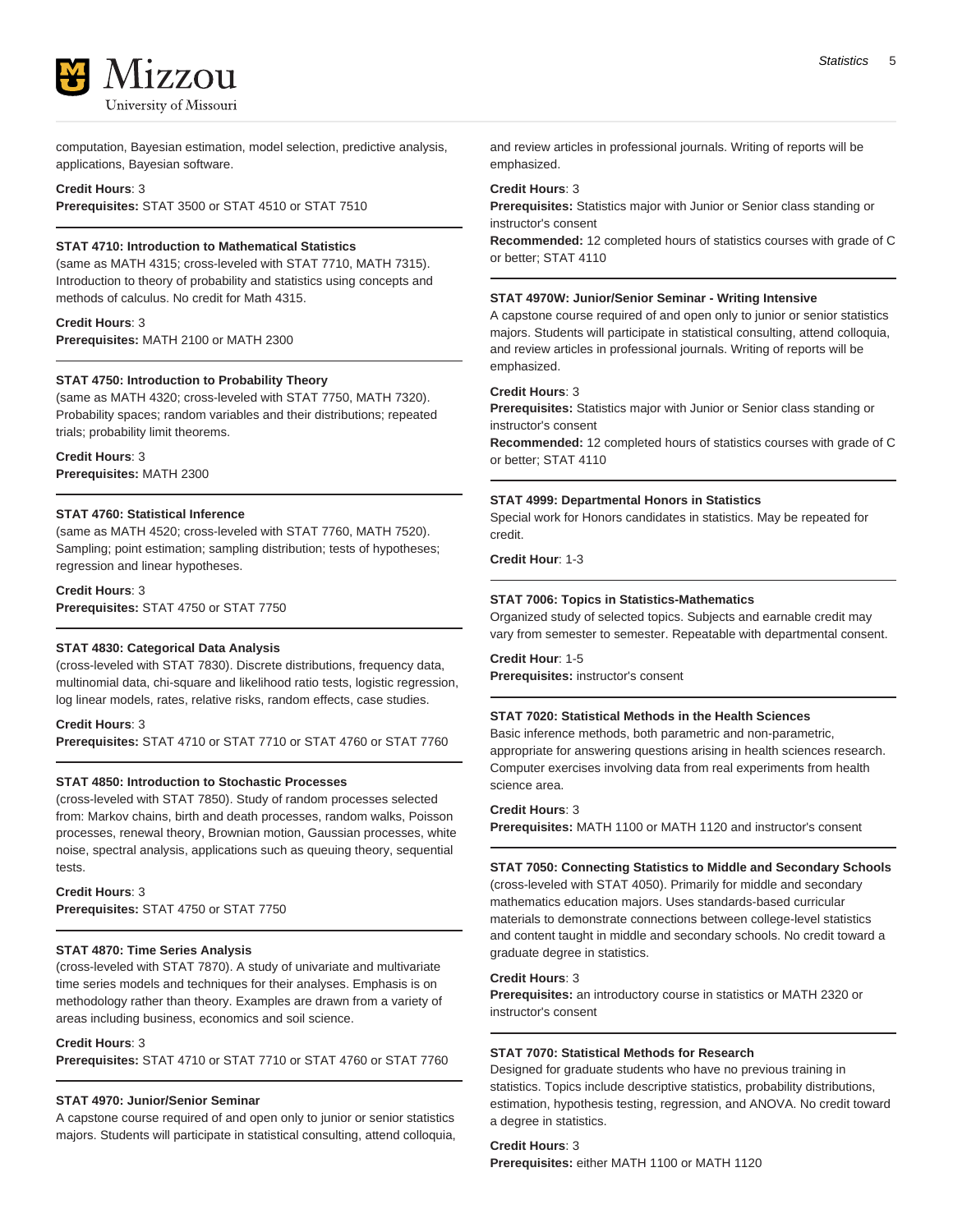

computation, Bayesian estimation, model selection, predictive analysis, applications, Bayesian software.

#### **Credit Hours**: 3

**Prerequisites:** STAT 3500 or STAT 4510 or STAT 7510

# **STAT 4710: Introduction to Mathematical Statistics**

(same as MATH 4315; cross-leveled with STAT 7710, MATH 7315). Introduction to theory of probability and statistics using concepts and methods of calculus. No credit for Math 4315.

**Credit Hours**: 3 **Prerequisites:** MATH 2100 or MATH 2300

#### **STAT 4750: Introduction to Probability Theory**

(same as MATH 4320; cross-leveled with STAT 7750, MATH 7320). Probability spaces; random variables and their distributions; repeated trials; probability limit theorems.

**Credit Hours**: 3 **Prerequisites:** MATH 2300

# **STAT 4760: Statistical Inference**

(same as MATH 4520; cross-leveled with STAT 7760, MATH 7520). Sampling; point estimation; sampling distribution; tests of hypotheses; regression and linear hypotheses.

**Credit Hours**: 3 **Prerequisites:** STAT 4750 or STAT 7750

# **STAT 4830: Categorical Data Analysis**

(cross-leveled with STAT 7830). Discrete distributions, frequency data, multinomial data, chi-square and likelihood ratio tests, logistic regression, log linear models, rates, relative risks, random effects, case studies.

### **Credit Hours**: 3

**Prerequisites:** STAT 4710 or STAT 7710 or STAT 4760 or STAT 7760

#### **STAT 4850: Introduction to Stochastic Processes**

(cross-leveled with STAT 7850). Study of random processes selected from: Markov chains, birth and death processes, random walks, Poisson processes, renewal theory, Brownian motion, Gaussian processes, white noise, spectral analysis, applications such as queuing theory, sequential tests.

**Credit Hours**: 3 **Prerequisites:** STAT 4750 or STAT 7750

#### **STAT 4870: Time Series Analysis**

(cross-leveled with STAT 7870). A study of univariate and multivariate time series models and techniques for their analyses. Emphasis is on methodology rather than theory. Examples are drawn from a variety of areas including business, economics and soil science.

#### **Credit Hours**: 3

**Prerequisites:** STAT 4710 or STAT 7710 or STAT 4760 or STAT 7760

# **STAT 4970: Junior/Senior Seminar**

A capstone course required of and open only to junior or senior statistics majors. Students will participate in statistical consulting, attend colloquia, and review articles in professional journals. Writing of reports will be emphasized.

#### **Credit Hours**: 3

**Prerequisites:** Statistics major with Junior or Senior class standing or instructor's consent

**Recommended:** 12 completed hours of statistics courses with grade of C or better; STAT 4110

#### **STAT 4970W: Junior/Senior Seminar - Writing Intensive**

A capstone course required of and open only to junior or senior statistics majors. Students will participate in statistical consulting, attend colloquia, and review articles in professional journals. Writing of reports will be emphasized.

#### **Credit Hours**: 3

**Prerequisites:** Statistics major with Junior or Senior class standing or instructor's consent

**Recommended:** 12 completed hours of statistics courses with grade of C or better; STAT 4110

#### **STAT 4999: Departmental Honors in Statistics**

Special work for Honors candidates in statistics. May be repeated for credit.

**Credit Hour**: 1-3

#### **STAT 7006: Topics in Statistics-Mathematics**

Organized study of selected topics. Subjects and earnable credit may vary from semester to semester. Repeatable with departmental consent.

**Credit Hour**: 1-5

**Prerequisites:** instructor's consent

# **STAT 7020: Statistical Methods in the Health Sciences**

Basic inference methods, both parametric and non-parametric, appropriate for answering questions arising in health sciences research. Computer exercises involving data from real experiments from health science area.

#### **Credit Hours**: 3

**Prerequisites:** MATH 1100 or MATH 1120 and instructor's consent

#### **STAT 7050: Connecting Statistics to Middle and Secondary Schools**

(cross-leveled with STAT 4050). Primarily for middle and secondary mathematics education majors. Uses standards-based curricular materials to demonstrate connections between college-level statistics and content taught in middle and secondary schools. No credit toward a graduate degree in statistics.

# **Credit Hours**: 3

**Prerequisites:** an introductory course in statistics or MATH 2320 or instructor's consent

# **STAT 7070: Statistical Methods for Research**

Designed for graduate students who have no previous training in statistics. Topics include descriptive statistics, probability distributions, estimation, hypothesis testing, regression, and ANOVA. No credit toward a degree in statistics.

**Credit Hours**: 3

**Prerequisites:** either MATH 1100 or MATH 1120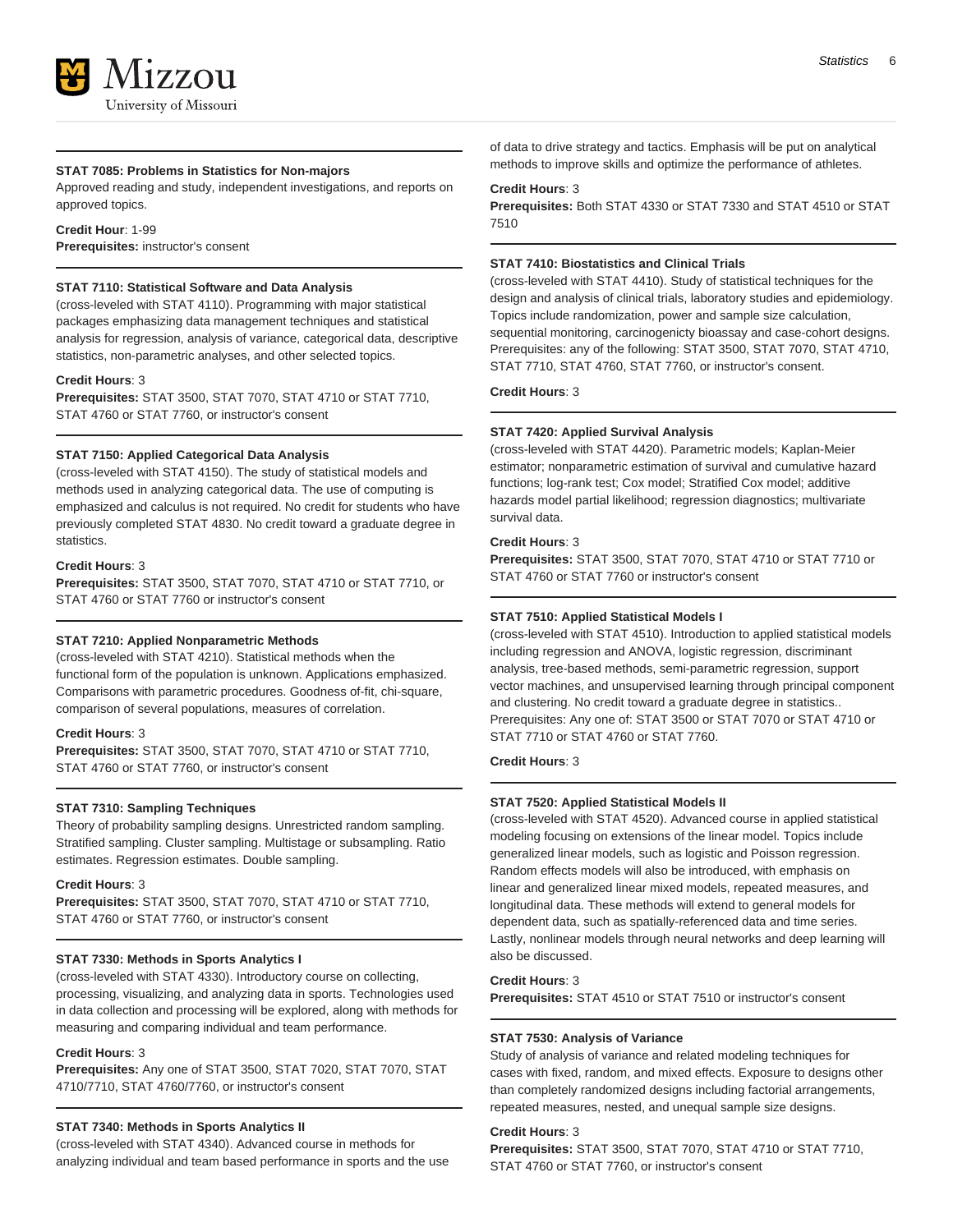# **STAT 7085: Problems in Statistics for Non-majors**

Approved reading and study, independent investigations, and reports on approved topics.

**Credit Hour**: 1-99 **Prerequisites:** instructor's consent

#### **STAT 7110: Statistical Software and Data Analysis**

(cross-leveled with STAT 4110). Programming with major statistical packages emphasizing data management techniques and statistical analysis for regression, analysis of variance, categorical data, descriptive statistics, non-parametric analyses, and other selected topics.

#### **Credit Hours**: 3

**Prerequisites:** STAT 3500, STAT 7070, STAT 4710 or STAT 7710, STAT 4760 or STAT 7760, or instructor's consent

#### **STAT 7150: Applied Categorical Data Analysis**

(cross-leveled with STAT 4150). The study of statistical models and methods used in analyzing categorical data. The use of computing is emphasized and calculus is not required. No credit for students who have previously completed STAT 4830. No credit toward a graduate degree in statistics.

#### **Credit Hours**: 3

**Prerequisites:** STAT 3500, STAT 7070, STAT 4710 or STAT 7710, or STAT 4760 or STAT 7760 or instructor's consent

#### **STAT 7210: Applied Nonparametric Methods**

(cross-leveled with STAT 4210). Statistical methods when the functional form of the population is unknown. Applications emphasized. Comparisons with parametric procedures. Goodness of-fit, chi-square, comparison of several populations, measures of correlation.

# **Credit Hours**: 3

**Prerequisites:** STAT 3500, STAT 7070, STAT 4710 or STAT 7710, STAT 4760 or STAT 7760, or instructor's consent

#### **STAT 7310: Sampling Techniques**

Theory of probability sampling designs. Unrestricted random sampling. Stratified sampling. Cluster sampling. Multistage or subsampling. Ratio estimates. Regression estimates. Double sampling.

#### **Credit Hours**: 3

**Prerequisites:** STAT 3500, STAT 7070, STAT 4710 or STAT 7710, STAT 4760 or STAT 7760, or instructor's consent

### **STAT 7330: Methods in Sports Analytics I**

(cross-leveled with STAT 4330). Introductory course on collecting, processing, visualizing, and analyzing data in sports. Technologies used in data collection and processing will be explored, along with methods for measuring and comparing individual and team performance.

### **Credit Hours**: 3

**Prerequisites:** Any one of STAT 3500, STAT 7020, STAT 7070, STAT 4710/7710, STAT 4760/7760, or instructor's consent

#### **STAT 7340: Methods in Sports Analytics II**

(cross-leveled with STAT 4340). Advanced course in methods for analyzing individual and team based performance in sports and the use of data to drive strategy and tactics. Emphasis will be put on analytical methods to improve skills and optimize the performance of athletes.

# **Credit Hours**: 3

**Prerequisites:** Both STAT 4330 or STAT 7330 and STAT 4510 or STAT 7510

# **STAT 7410: Biostatistics and Clinical Trials**

(cross-leveled with STAT 4410). Study of statistical techniques for the design and analysis of clinical trials, laboratory studies and epidemiology. Topics include randomization, power and sample size calculation, sequential monitoring, carcinogenicty bioassay and case-cohort designs. Prerequisites: any of the following: STAT 3500, STAT 7070, STAT 4710, STAT 7710, STAT 4760, STAT 7760, or instructor's consent.

**Credit Hours**: 3

### **STAT 7420: Applied Survival Analysis**

(cross-leveled with STAT 4420). Parametric models; Kaplan-Meier estimator; nonparametric estimation of survival and cumulative hazard functions; log-rank test; Cox model; Stratified Cox model; additive hazards model partial likelihood; regression diagnostics; multivariate survival data.

#### **Credit Hours**: 3

**Prerequisites:** STAT 3500, STAT 7070, STAT 4710 or STAT 7710 or STAT 4760 or STAT 7760 or instructor's consent

# **STAT 7510: Applied Statistical Models I**

(cross-leveled with STAT 4510). Introduction to applied statistical models including regression and ANOVA, logistic regression, discriminant analysis, tree-based methods, semi-parametric regression, support vector machines, and unsupervised learning through principal component and clustering. No credit toward a graduate degree in statistics.. Prerequisites: Any one of: STAT 3500 or STAT 7070 or STAT 4710 or STAT 7710 or STAT 4760 or STAT 7760.

**Credit Hours**: 3

### **STAT 7520: Applied Statistical Models II**

(cross-leveled with STAT 4520). Advanced course in applied statistical modeling focusing on extensions of the linear model. Topics include generalized linear models, such as logistic and Poisson regression. Random effects models will also be introduced, with emphasis on linear and generalized linear mixed models, repeated measures, and longitudinal data. These methods will extend to general models for dependent data, such as spatially-referenced data and time series. Lastly, nonlinear models through neural networks and deep learning will also be discussed.

#### **Credit Hours**: 3

**Prerequisites:** STAT 4510 or STAT 7510 or instructor's consent

#### **STAT 7530: Analysis of Variance**

Study of analysis of variance and related modeling techniques for cases with fixed, random, and mixed effects. Exposure to designs other than completely randomized designs including factorial arrangements, repeated measures, nested, and unequal sample size designs.

#### **Credit Hours**: 3

**Prerequisites:** STAT 3500, STAT 7070, STAT 4710 or STAT 7710, STAT 4760 or STAT 7760, or instructor's consent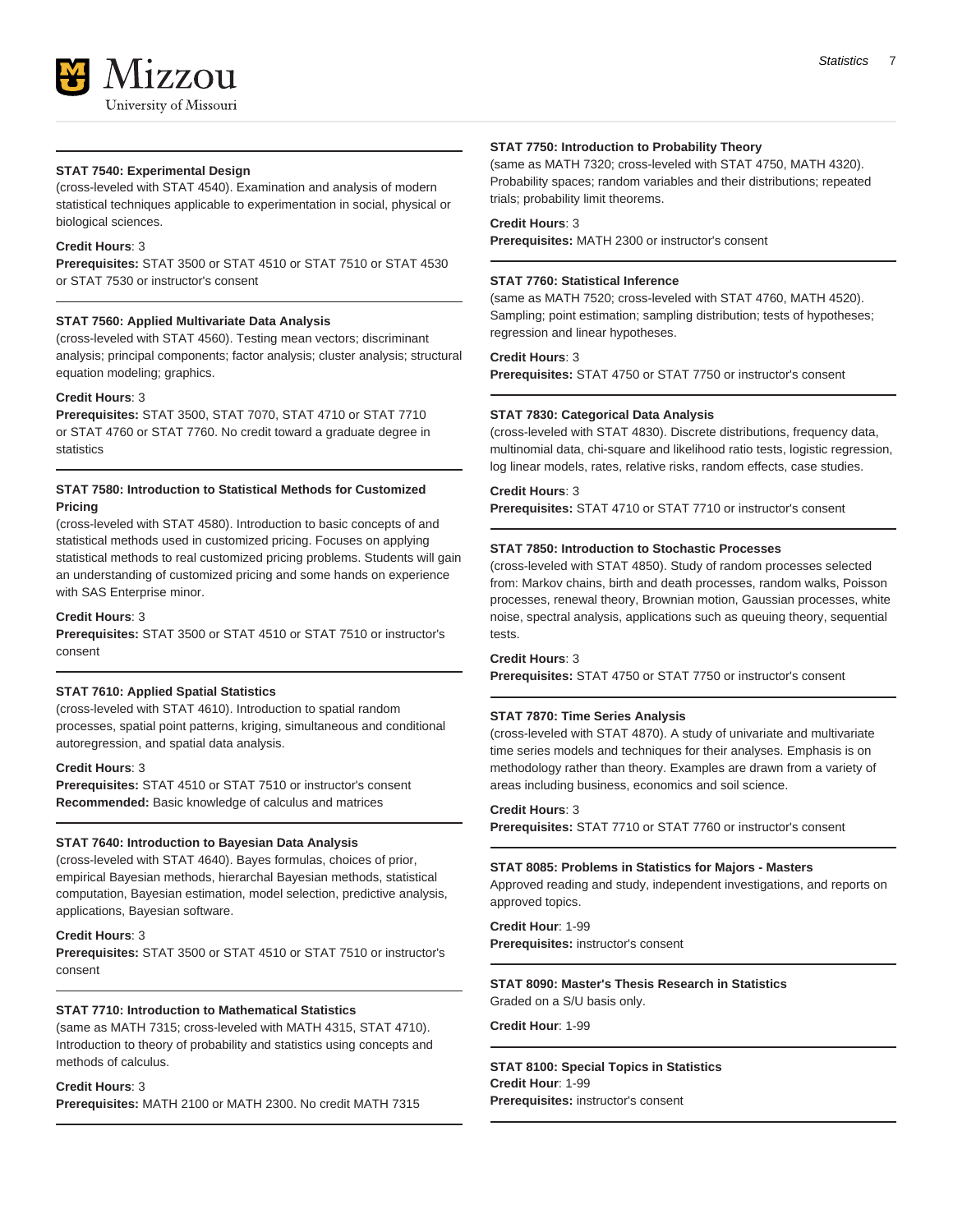

### **STAT 7540: Experimental Design**

(cross-leveled with STAT 4540). Examination and analysis of modern statistical techniques applicable to experimentation in social, physical or biological sciences.

#### **Credit Hours**: 3

**Prerequisites:** STAT 3500 or STAT 4510 or STAT 7510 or STAT 4530 or STAT 7530 or instructor's consent

#### **STAT 7560: Applied Multivariate Data Analysis**

(cross-leveled with STAT 4560). Testing mean vectors; discriminant analysis; principal components; factor analysis; cluster analysis; structural equation modeling; graphics.

### **Credit Hours**: 3

**Prerequisites:** STAT 3500, STAT 7070, STAT 4710 or STAT 7710 or STAT 4760 or STAT 7760. No credit toward a graduate degree in statistics

# **STAT 7580: Introduction to Statistical Methods for Customized Pricing**

(cross-leveled with STAT 4580). Introduction to basic concepts of and statistical methods used in customized pricing. Focuses on applying statistical methods to real customized pricing problems. Students will gain an understanding of customized pricing and some hands on experience with SAS Enterprise minor.

# **Credit Hours**: 3

**Prerequisites:** STAT 3500 or STAT 4510 or STAT 7510 or instructor's consent

# **STAT 7610: Applied Spatial Statistics**

(cross-leveled with STAT 4610). Introduction to spatial random processes, spatial point patterns, kriging, simultaneous and conditional autoregression, and spatial data analysis.

#### **Credit Hours**: 3

**Prerequisites:** STAT 4510 or STAT 7510 or instructor's consent **Recommended:** Basic knowledge of calculus and matrices

### **STAT 7640: Introduction to Bayesian Data Analysis**

(cross-leveled with STAT 4640). Bayes formulas, choices of prior, empirical Bayesian methods, hierarchal Bayesian methods, statistical computation, Bayesian estimation, model selection, predictive analysis, applications, Bayesian software.

#### **Credit Hours**: 3

**Prerequisites:** STAT 3500 or STAT 4510 or STAT 7510 or instructor's consent

#### **STAT 7710: Introduction to Mathematical Statistics**

(same as MATH 7315; cross-leveled with MATH 4315, STAT 4710). Introduction to theory of probability and statistics using concepts and methods of calculus.

# **Credit Hours**: 3

**Prerequisites:** MATH 2100 or MATH 2300. No credit MATH 7315

#### **STAT 7750: Introduction to Probability Theory**

(same as MATH 7320; cross-leveled with STAT 4750, MATH 4320). Probability spaces; random variables and their distributions; repeated trials; probability limit theorems.

#### **Credit Hours**: 3

**Prerequisites:** MATH 2300 or instructor's consent

# **STAT 7760: Statistical Inference**

(same as MATH 7520; cross-leveled with STAT 4760, MATH 4520). Sampling; point estimation; sampling distribution; tests of hypotheses; regression and linear hypotheses.

### **Credit Hours**: 3

**Prerequisites:** STAT 4750 or STAT 7750 or instructor's consent

#### **STAT 7830: Categorical Data Analysis**

(cross-leveled with STAT 4830). Discrete distributions, frequency data, multinomial data, chi-square and likelihood ratio tests, logistic regression, log linear models, rates, relative risks, random effects, case studies.

#### **Credit Hours**: 3

**Prerequisites:** STAT 4710 or STAT 7710 or instructor's consent

#### **STAT 7850: Introduction to Stochastic Processes**

(cross-leveled with STAT 4850). Study of random processes selected from: Markov chains, birth and death processes, random walks, Poisson processes, renewal theory, Brownian motion, Gaussian processes, white noise, spectral analysis, applications such as queuing theory, sequential tests.

#### **Credit Hours**: 3

**Prerequisites:** STAT 4750 or STAT 7750 or instructor's consent

#### **STAT 7870: Time Series Analysis**

(cross-leveled with STAT 4870). A study of univariate and multivariate time series models and techniques for their analyses. Emphasis is on methodology rather than theory. Examples are drawn from a variety of areas including business, economics and soil science.

#### **Credit Hours**: 3

**Prerequisites:** STAT 7710 or STAT 7760 or instructor's consent

#### **STAT 8085: Problems in Statistics for Majors - Masters**

Approved reading and study, independent investigations, and reports on approved topics.

#### **Credit Hour**: 1-99 **Prerequisites:** instructor's consent

# **STAT 8090: Master's Thesis Research in Statistics**

Graded on a S/U basis only.

# **Credit Hour**: 1-99

**STAT 8100: Special Topics in Statistics Credit Hour**: 1-99 **Prerequisites:** instructor's consent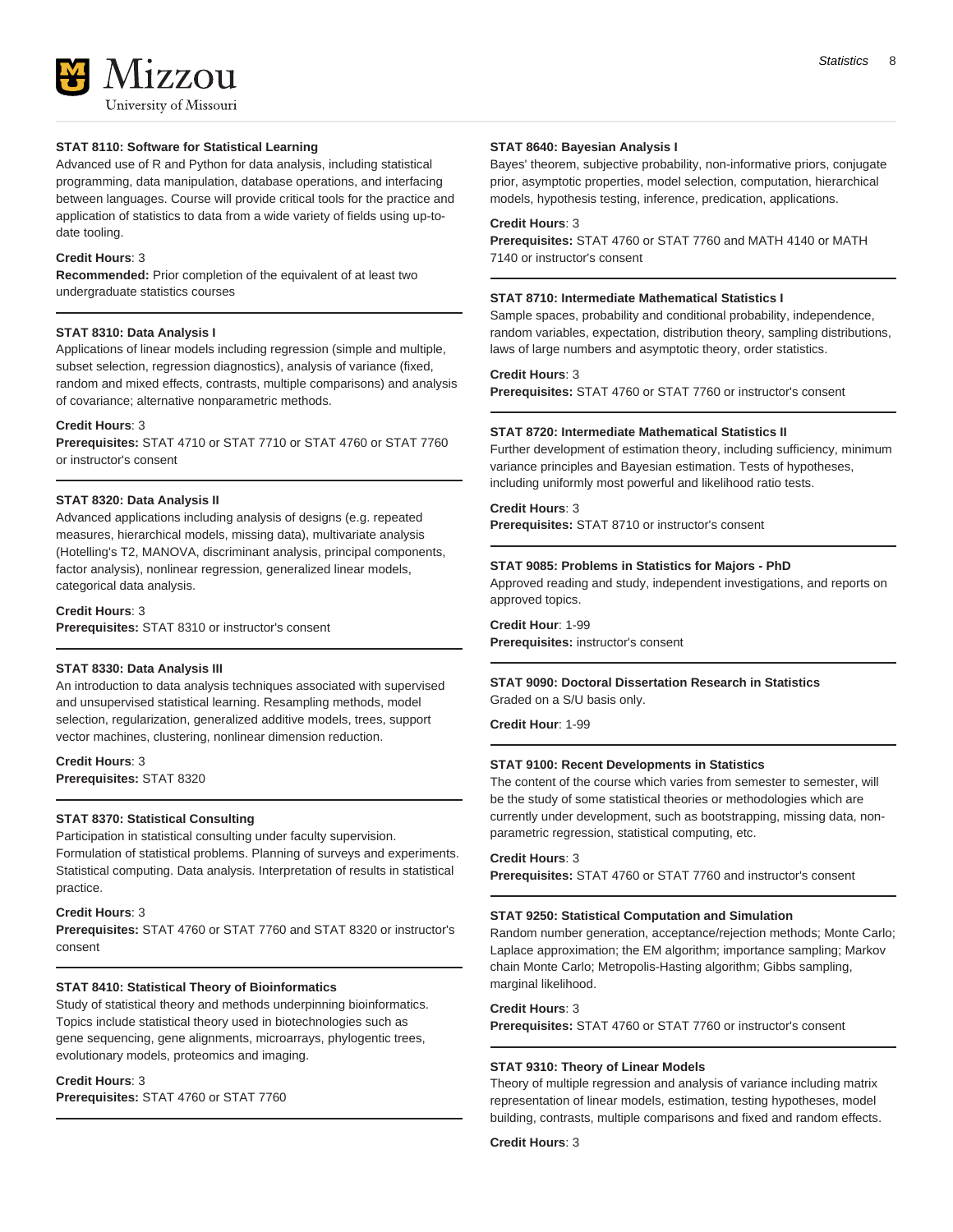**177011** University of Missouri

# **STAT 8110: Software for Statistical Learning**

Advanced use of R and Python for data analysis, including statistical programming, data manipulation, database operations, and interfacing between languages. Course will provide critical tools for the practice and application of statistics to data from a wide variety of fields using up-todate tooling.

#### **Credit Hours**: 3

**Recommended:** Prior completion of the equivalent of at least two undergraduate statistics courses

# **STAT 8310: Data Analysis I**

Applications of linear models including regression (simple and multiple, subset selection, regression diagnostics), analysis of variance (fixed, random and mixed effects, contrasts, multiple comparisons) and analysis of covariance; alternative nonparametric methods.

#### **Credit Hours**: 3

**Prerequisites:** STAT 4710 or STAT 7710 or STAT 4760 or STAT 7760 or instructor's consent

#### **STAT 8320: Data Analysis II**

Advanced applications including analysis of designs (e.g. repeated measures, hierarchical models, missing data), multivariate analysis (Hotelling's T2, MANOVA, discriminant analysis, principal components, factor analysis), nonlinear regression, generalized linear models, categorical data analysis.

#### **Credit Hours**: 3

**Prerequisites:** STAT 8310 or instructor's consent

### **STAT 8330: Data Analysis III**

An introduction to data analysis techniques associated with supervised and unsupervised statistical learning. Resampling methods, model selection, regularization, generalized additive models, trees, support vector machines, clustering, nonlinear dimension reduction.

**Credit Hours**: 3 **Prerequisites:** STAT 8320

#### **STAT 8370: Statistical Consulting**

Participation in statistical consulting under faculty supervision. Formulation of statistical problems. Planning of surveys and experiments. Statistical computing. Data analysis. Interpretation of results in statistical practice.

# **Credit Hours**: 3

**Prerequisites:** STAT 4760 or STAT 7760 and STAT 8320 or instructor's consent

#### **STAT 8410: Statistical Theory of Bioinformatics**

Study of statistical theory and methods underpinning bioinformatics. Topics include statistical theory used in biotechnologies such as gene sequencing, gene alignments, microarrays, phylogentic trees, evolutionary models, proteomics and imaging.

#### **Credit Hours**: 3

**Prerequisites:** STAT 4760 or STAT 7760

#### **STAT 8640: Bayesian Analysis I**

Bayes' theorem, subjective probability, non-informative priors, conjugate prior, asymptotic properties, model selection, computation, hierarchical models, hypothesis testing, inference, predication, applications.

# **Credit Hours**: 3

**Prerequisites:** STAT 4760 or STAT 7760 and MATH 4140 or MATH 7140 or instructor's consent

#### **STAT 8710: Intermediate Mathematical Statistics I**

Sample spaces, probability and conditional probability, independence, random variables, expectation, distribution theory, sampling distributions, laws of large numbers and asymptotic theory, order statistics.

**Credit Hours**: 3

**Prerequisites:** STAT 4760 or STAT 7760 or instructor's consent

#### **STAT 8720: Intermediate Mathematical Statistics II**

Further development of estimation theory, including sufficiency, minimum variance principles and Bayesian estimation. Tests of hypotheses, including uniformly most powerful and likelihood ratio tests.

#### **Credit Hours**: 3

**Prerequisites:** STAT 8710 or instructor's consent

#### **STAT 9085: Problems in Statistics for Majors - PhD**

Approved reading and study, independent investigations, and reports on approved topics.

**Credit Hour**: 1-99 **Prerequisites:** instructor's consent

# **STAT 9090: Doctoral Dissertation Research in Statistics** Graded on a S/U basis only.

**Credit Hour**: 1-99

### **STAT 9100: Recent Developments in Statistics**

The content of the course which varies from semester to semester, will be the study of some statistical theories or methodologies which are currently under development, such as bootstrapping, missing data, nonparametric regression, statistical computing, etc.

#### **Credit Hours**: 3

**Prerequisites:** STAT 4760 or STAT 7760 and instructor's consent

#### **STAT 9250: Statistical Computation and Simulation**

Random number generation, acceptance/rejection methods; Monte Carlo; Laplace approximation; the EM algorithm; importance sampling; Markov chain Monte Carlo; Metropolis-Hasting algorithm; Gibbs sampling, marginal likelihood.

#### **Credit Hours**: 3

**Prerequisites:** STAT 4760 or STAT 7760 or instructor's consent

#### **STAT 9310: Theory of Linear Models**

Theory of multiple regression and analysis of variance including matrix representation of linear models, estimation, testing hypotheses, model building, contrasts, multiple comparisons and fixed and random effects.

**Credit Hours**: 3